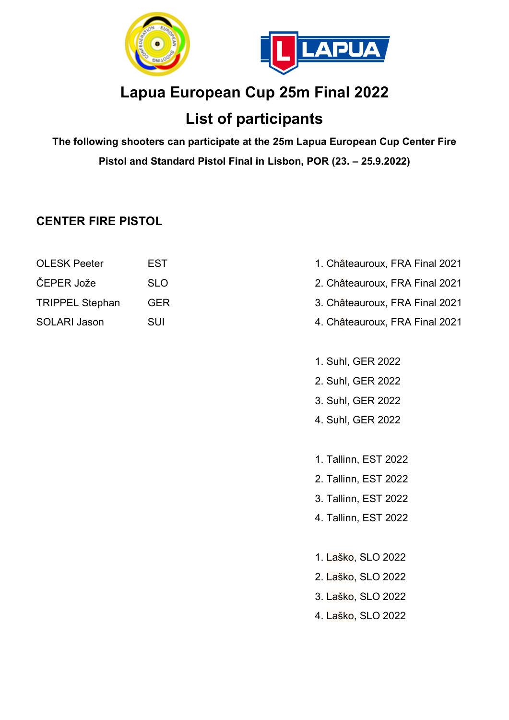

## **Lapua European Cup 25m Final 2022**

## **List of participants**

**The following shooters can participate at the 25m Lapua European Cup Center Fire Pistol and Standard Pistol Final in Lisbon, POR (23. – 25.9.2022)**

#### **CENTER FIRE PISTOL**

| <b>OLESK Peeter</b>    | EST        |
|------------------------|------------|
| ČEPER Jože             | <b>SLC</b> |
| <b>TRIPPEL Stephan</b> | <b>GEF</b> |
| <b>SOLARI Jason</b>    | <b>SUI</b> |

- 1. Châteauroux, FRA Final 2021
- ČEPER Jože SLO 2. Châteauroux, FRA Final 2021
- R<br>TRIPPEL Stephan German German Stephan German Stephan German Stephan German Stephan German Stephan Stephan Germ
	- 4. Châteauroux, FRA Final 2021
	- 1. Suhl, GER 2022
	- 2. Suhl, GER 2022
	- 3. Suhl, GER 2022
	- 4. Suhl, GER 2022
	- 1. Tallinn, EST 2022
	- 2. Tallinn, EST 2022
	- 3. Tallinn, EST 2022
	- 4. Tallinn, EST 2022
	- 1. Laško, SLO 2022
	- 2. Laško, SLO 2022
	- 3. Laško, SLO 2022
	- 4. Laško, SLO 2022